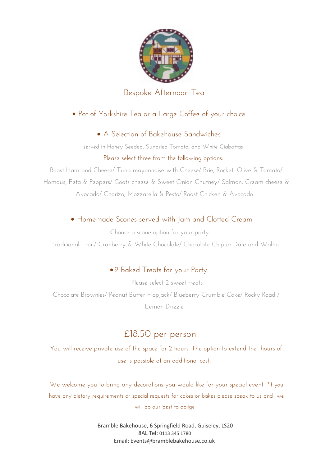

#### Bespoke Afternoon Tea

### ∙ Pot of Yorkshire Tea or a Large Coffee of your choice

#### ∙ A Selection of Bakehouse Sandwiches

served in Honey Seeded, Sundried Tomato, and White Ciabattas Please select three from the following options:

Roast Ham and Cheese/ Tuna mayonnaise with Cheese/ Brie, Rocket, Olive & Tomato/ Homous, Feta & Peppers/ Goats cheese & Sweet Onion Chutney/ Salmon, Cream cheese & Avocado/ Chorizo, Mozzarella & Pesto/ Roast Chicken & Avocado

### ∙ Homemade Scones served with Jam and Clotted Cream

Choose a scone option for your party Traditional Fruit/ Cranberry & White Chocolate/ Chocolate Chip or Date and Walnut

# ∙ 2 Baked Treats for your Party

Please select 2 sweet treats Chocolate Brownies/ Peanut Butter Flapjack/ Blueberry Crumble Cake/ Rocky Road / Lemon Drizzle

# £18.50 per person

You will receive private use of the space for 2 hours. The option to extend the hours of use is possible at an additional cost.

We welcome you to bring any decorations you would like for your special event \*if you have any dietary requirements or special requests for cakes or bakes please speak to us and we will do our best to oblige

> Bramble Bakehouse, 6 Springfield Road, Guiseley, LS20 8AL Tel: 0113 345 1780 Email: Events@bramblebakehouse.co.uk